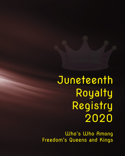Juneteenth Royalty Registry 2020

Who's Who Among Freedom's Queens and Kings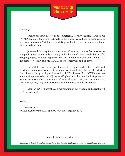

Greetings,

Thanks for your interest in the Juneteenth Royalty Registry. Due to Mr. COVID-19, many Juneteenth celebrations have been scaled back or postposed. In turn, our Juneteenth 2020 Queens and Kings will not receive the kudos and honor they earned and deserve.

Juneteenth Royalty Registry was devised as a response to that misfortune. The publication cannot replace the joy and ballyhoo of a live parade, but it offers bragging rights, national applause, and an unparalleled souvenir. Of greater importance, it loudly tells Mr. COVID to "go somewhere and sit down".

Circa 2020 is not the first year Juneteenth recognitions have been challenged. Previous celebrations occurred in minimal versions during the horrific Mexican Flu epidemic, the great depression, and both World Wars. Mr. COVID may have temporarily prevented many of Juneteenth's physical gatherings, but he is powerless to end the formidable connectivity of kindred spirits. If your community has selected a Queen, King and court, include them in this unique celebration.

Let Mr. COVID know the commemoration of our freedom and ancestry will NOT be sidelined.

Joyfully,

D. J. Norman-Cox Author of *Juneteenth 101: Popular Myths and Forgotten Facts*

#### www.juneteenth.university

*Juneteenth University is a website operated by Arising Together Publishing, an independent publishing company.*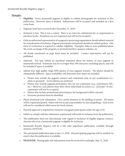#### **Details**:

- *Eligibility*: Every Juneteenth pageant is eligible to submit photographs for inclusion in this publication. However, space is limited. Submissions will be accepted and included on a first come basis.
- • Pageants must have occurred after December 31, 2019.
- Inclusion is free. This is not a contest. There is no entry fee, submission fee, or requirement to purchase books. Donations are not requested and will not be accepted.
- Only an authorized representative of a pageant's sponsoring organization should submit material for consideration of inclusion. Pageant participants and parents should not submit packets. One form of verification is required to validate eligibility. Examples: links to news published about the event; an image of the program or promotional flyer, sponsor websites, etc.
- • All details mentioned on page three must be included. Contact information will not be published.
- • Optional: You may submit an anecdotal statement about the history of your pageant or Juneteenth festival. Statement may be no longer than 500 characters including spaces, and will be included if space is available.
- • Submit four high quality (high DPI) photos of your pageant winners. The photos should be substantially different. Space availability will determine how many are included.
	- o Photos may include the pageant winners and contestants only, in any combination (i.e.: alone or grouped). Action photos are preferred.
	- o Photos may include pageant participants who are not contestants (e.g., entertainers, MC, etc.) However, such photos must show those individuals in action (i.e., "portraits" of noncontestants will not be accepted.)
	- o Photos that include promotional advertising in the background will be rejected.
	- o Everyone pictured must be identified.
- Please proofread your submission. Give careful attention to the spelling of names. All names will be copied and pasted. Editor will not accept responsibility for any misspellings. Such errors will not be considered valid reason for book returns.
- Parental approval is required for inclusion of pageant participants under the age of 18.
- Failure to comply with the submission requirement will result in exclusion from the publication.
- This publication does not discriminate with regard to inclusion of eligible pageant winners. Anyone who won a Juneteenth pageant is eligible for inclusion.
- Juneteenth Royalty Registry will be a full color paperback publication, available through amazon.com/books.
- The anticipated publication date is June 15, 2020. All participating pageants will be notified via email when the publication is available.
- • **DEADLINE**: Photographs and information must be received by midnight, May 31, 2020.